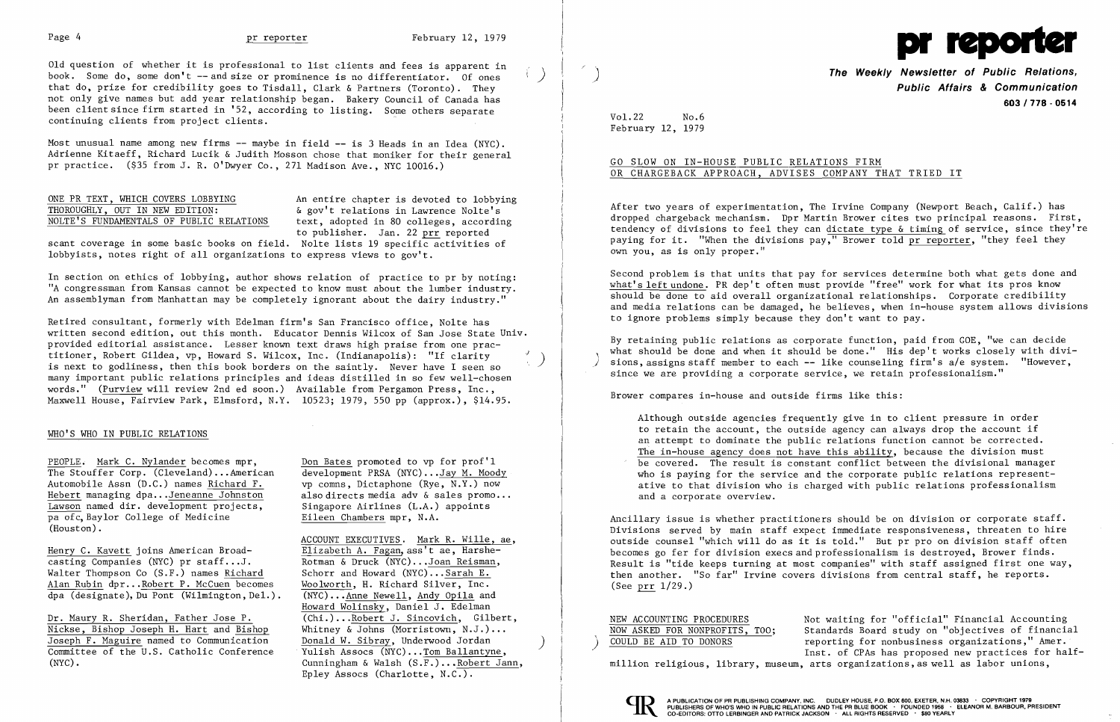

Old question of whether it is professional to list clients and fees is apparent in book. Some do, some don't  $-$ - and size or prominence is no differentiator. Of ones that do, prize for credibility goes to Tisdall, Clark & Partners (Toronto). They not only give names but add year relationship began. Bakery Council of Canada has been client since firm started in '52, according to listing. Some others separate continuing clients from project clients.

Most unusual name among new firms  $-$  maybe in field  $-$  is 3 Heads in an Idea (NYC). Adrienne Kitaeff, Richard Lucik & Judith Mosson chose that moniker for their general pr practice. (\$35 from J. R. O'Dwyer Co., 271 Madison Ave., NYC 10016.)

# NOLTE'S FUNDAMENTALS OF PUBLIC RELATIONS

ONE PR TEXT, WHICH COVERS LOBBYING<br>
THOROUGHLY, OUT IN NEW EDITION:  $\&$  gov't relations in Lawrence Nolte's & gov't relations in Lawrence Nolte's<br>text, adopted in 80 colleges, according to publisher. Jan. 22 prr reported

scant coverage in some basic books on field. Nolte lists 19 specific activities of lobbyists, notes right of all organizations to express views to gov't.

Retired consultant, formerly with Edelman firm's San Francisco office, Nolte has written second edition, out this month. Educator Dennis Wilcox of San Jose State Univ. provided editorial assistance. Lesser known text draws high praise from one practitioner, Robert Gildea, vp, Howard S. Wilcox, Inc. (Indianapolis): "If clarity *,j)*  is next to godliness, then this book borders on the saintly. Never have I seen so many important public relations principles and ideas distilled in so few well-chosen words." (Purview will review 2nd ed soon.) Available from Pergamon Press, Inc., Maxwell House, Fairview Park, Elmsford, N.Y. 10523; 1979, 550 pp (approx.), \$14.95.

In section on ethics of lobbying, author shows relation of practice to pr by noting: "A congressman from Kansas cannot be expected to know must about the lumber industry. An assemblyman from Manhattan may be completely ignorant about the dairy industry."

PEOPLE. Mark C. Nylander becomes mpr, Don Bates promoted to vp for prof'l<br>The Stouffer Corp. (Cleveland)...American development PRSA (NYC)...Jay M. Moody The Stouffer Corp. (Cleveland)...American development PRSA (NYC)...Jay M. Moody<br>Automobile Assn (D.C.) names Richard F. vp comns, Dictaphone (Rye, N.Y.) now Automobile Assn (D.C.) names Richard F.<br>Hebert managing dpa...Jeneanne Johnston  $\overline{\text{Lawson}}$  named dir. development projects, pa ofc, Baylor College of Medicine Eileen Chambers mpr, N.A. (Houston) .

Henry C. Kavett joins American Broad-<br>
casting Companies (NYC) pr staff...J.<br>
Rotman & Druck (NYC)...Joan Reisman, casting Companies (NYC) pr staff...J.<br>Walter Thompson Co (S.F.) names Richard Schorr and Howard (NYC)...Sarah E. Walter Thompson Co  $(S.F.)$  names  $Richard$  Schorr and Howard  $(NYC)...Sarah E.$ <br>Alan Rubin dpr...Robert P. McCuen becomes Woolworth, H. Richard Silver, Inc. Alan Rubin dpr... Robert P. McCuen becomes Woolworth, H. Richard Silver, Inc.<br>dpa (designate), Du Pont (Wilmington, Del.). (NYC)... Anne Newell, Andy Opila and  $\overline{dpa}$  (designate), Du Pont (Wilmington, Del.).

Dr. Maury R. Sheridan, Father Jose P. (Chi.)... Robert J. Sincovich, Gilbert,<br>Nickse, Bishop Joseph H. Hart and Bishop Whitney & Johns (Morristown, N.J.)... Nickse, Bishop Joseph H. Hart and Bishop Whitney & Johns (Morristown, N.J.).<br>Joseph F. Maguire named to Communication Donald W. Sibray, Underwood Jordan

also directs media adv & sales promo...<br>Singapore Airlines (L.A.) appoints

## WHO'S WHO IN PUBLIC RELATIONS

) **The Weekly Newsletter of Public Relations, Public Affairs & Communication 603/778·0514** 

aiting for "official" Financial Accounting ards Board study on "objectives of financial<br>ting for nonbusiness organizations," Amer. Joseph F. Maguire named to Communication bonald W. Sibray, Underwood Jordan (Dependent of the U.S. Catholic Conference (MI) and MI) Net all Dependence (MI) Dependence of the U.S. Catholic Conference (MI) and MI) Year (MI) Committee of the U.S. Catholic Conference Yulish Assocs (NYC)...<u>Tom Ballantyne</u>, (NYC) and the U.S. Catholic Conference Yulish Assocs (NYC)...<u>Tom Ballantyne</u>, (NYC) and the U.S. Catholic Conference Yulish Assocs (NYC)...

Vol.22 No.6 February 12, 1979

## GO SLOW ON IN-HOUSE PUBLIC RELATIONS FIRM OR CHARGEBACK APPROACH, ADVISES COMPANY THAT TRIED IT

After two years of experimentation, The Irvine Company (Newport Beach, Calif.) has dropped chargeback mechanism. Dpr Martin Brower cites two principal reasons. First, tendency of divisions to feel they can dictate type & timing of service, since they're paying for it. "When the divisions pay," Brower told pr reporter, "they feel they own you, as is only proper."

Second problem is that units that pay for services determine both what gets done and what's left undone. PR dep't often must provide "free" work for what its pros know should be done to aid overall organizational relationships. Corporate credibility and media relations can be damaged, he believes, when in-house system allows divisions to ignore problems simply because they don't want to pay.

By retaining public relations as corporate function, paid from GOE, "we can decide what should be done and when it should be done." His dep't works closely with divi-<br>sions, assigns staff member to each -- like counseling firm's a/e system. "However, since we are providing a corporate service, we retain professionalism."

ACCOUNT EXECUTIVES. Mark R. Wille, ae, Howard Wolinsky, Daniel J. Edelman Epley Assocs (Charlotte, N.C.).

Brower compares in-house and outside firms like this:

Although outside agencies frequently give in to client pressure in order to retain the account, the outside agency can always drop the account if an attempt to dominate the public relations function cannot be corrected. The in-house agency does not have this ability, because the division must be covered. The result is constant conflict between the divisional manager who is paying for the service and the corporate public relations representative to that division who is charged with public relations professionalism and a corporate overview.

Ancillary issue is whether practitioners should be on division or corporate staff. Divisions served by main staff expect immediate responsiveness, threaten to hire outside counsel "which will do as it is told." But pr pro on division staff often becomes go fer for division execs and professionalism is destroyed, Brower finds. Result is "tide keeps turning at most companies" with staff assigned first one way, then another. "So far" Irvine covers divisions from central staff, he reports. (See prr 1/29.)

| NEW ACCOUNTING PROCEDURES                | Not wa |
|------------------------------------------|--------|
| NOW ASKED FOR NONPROFITS, TOO;           | Standa |
| COULD BE AID TO DONORS                   | report |
|                                          | Inst.  |
| million religious. library. museum. arts |        |